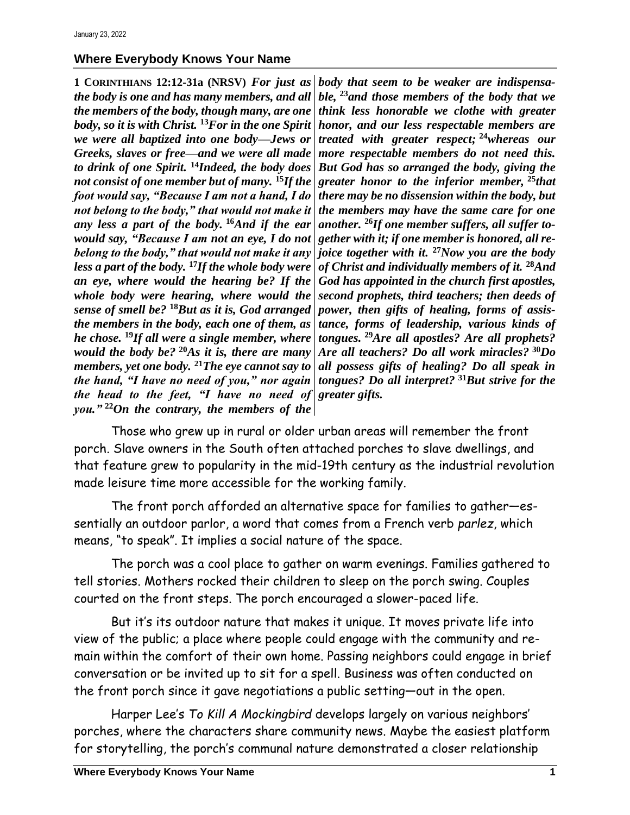## **Where Everybody Knows Your Name**

**1 CORINTHIANS 12:12-31a (NRSV)** *For just as the body is one and has many members, and all the members of the body, though many, are one body, so it is with Christ.* **<sup>13</sup>***For in the one Spirit we were all baptized into one body—Jews or Greeks, slaves or free—and we were all made to drink of one Spirit.* **<sup>14</sup>***Indeed, the body does not consist of one member but of many.* **<sup>15</sup>***If the foot would say, "Because I am not a hand, I do not belong to the body," that would not make it any less a part of the body.* **<sup>16</sup>***And if the ear would say, "Because I am not an eye, I do not belong to the body," that would not make it any joice together with it.* **<sup>27</sup>***Now you are the body less a part of the body.* **<sup>17</sup>***If the whole body were an eye, where would the hearing be? If the whole body were hearing, where would the sense of smell be?* **<sup>18</sup>***But as it is, God arranged the members in the body, each one of them, as he chose.* **<sup>19</sup>***If all were a single member, where would the body be?* **<sup>20</sup>***As it is, there are many members, yet one body.* **<sup>21</sup>***The eye cannot say to the hand, "I have no need of you," nor again the head to the feet, "I have no need of greater gifts. you."* **<sup>22</sup>***On the contrary, the members of the* 

*body that seem to be weaker are indispensable,* **<sup>23</sup>***and those members of the body that we think less honorable we clothe with greater honor, and our less respectable members are treated with greater respect;* **<sup>24</sup>***whereas our more respectable members do not need this. But God has so arranged the body, giving the greater honor to the inferior member,* **<sup>25</sup>***that there may be no dissension within the body, but the members may have the same care for one another.* **<sup>26</sup>***If one member suffers, all suffer together with it; if one member is honored, all reof Christ and individually members of it.* **<sup>28</sup>***And God has appointed in the church first apostles, second prophets, third teachers; then deeds of power, then gifts of healing, forms of assistance, forms of leadership, various kinds of tongues.* **<sup>29</sup>***Are all apostles? Are all prophets? Are all teachers? Do all work miracles?* **<sup>30</sup>***Do all possess gifts of healing? Do all speak in tongues? Do all interpret?* **<sup>31</sup>***But strive for the* 

Those who grew up in rural or older urban areas will remember the front porch. Slave owners in the South often attached porches to slave dwellings, and that feature grew to popularity in the mid-19th century as the industrial revolution made leisure time more accessible for the working family.

The front porch afforded an alternative space for families to gather—essentially an outdoor parlor, a word that comes from a French verb *parlez*, which means, "to speak". It implies a social nature of the space.

The porch was a cool place to gather on warm evenings. Families gathered to tell stories. Mothers rocked their children to sleep on the porch swing. Couples courted on the front steps. The porch encouraged a slower-paced life.

But it's its outdoor nature that makes it unique. It moves private life into view of the public; a place where people could engage with the community and remain within the comfort of their own home. Passing neighbors could engage in brief conversation or be invited up to sit for a spell. Business was often conducted on the front porch since it gave negotiations a public setting—out in the open.

Harper Lee's *To Kill A Mockingbird* develops largely on various neighbors' porches, where the characters share community news. Maybe the easiest platform for storytelling, the porch's communal nature demonstrated a closer relationship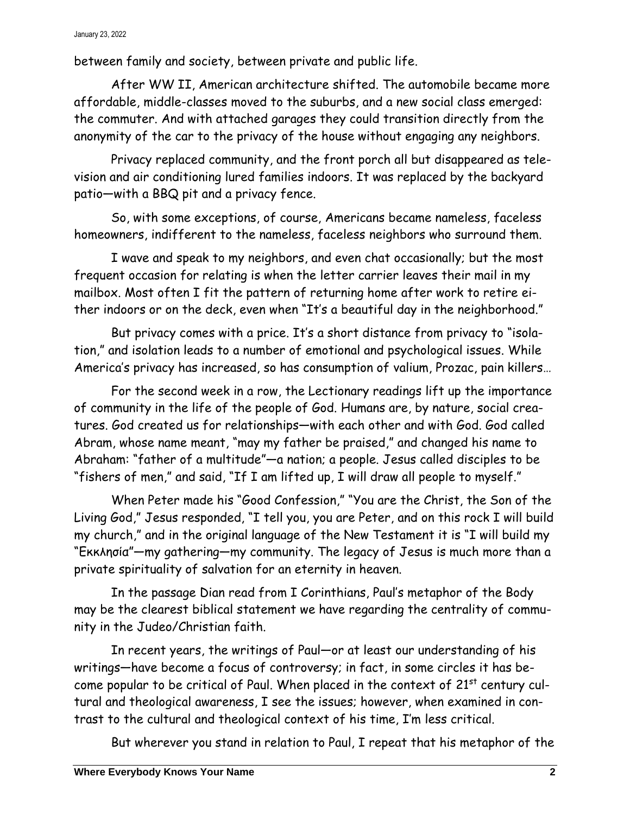between family and society, between private and public life.

After WW II, American architecture shifted. The automobile became more affordable, middle-classes moved to the suburbs, and a new social class emerged: the commuter. And with attached garages they could transition directly from the anonymity of the car to the privacy of the house without engaging any neighbors.

Privacy replaced community, and the front porch all but disappeared as television and air conditioning lured families indoors. It was replaced by the backyard patio—with a BBQ pit and a privacy fence.

So, with some exceptions, of course, Americans became nameless, faceless homeowners, indifferent to the nameless, faceless neighbors who surround them.

I wave and speak to my neighbors, and even chat occasionally; but the most frequent occasion for relating is when the letter carrier leaves their mail in my mailbox. Most often I fit the pattern of returning home after work to retire either indoors or on the deck, even when "It's a beautiful day in the neighborhood."

But privacy comes with a price. It's a short distance from privacy to "isolation," and isolation leads to a number of emotional and psychological issues. While America's privacy has increased, so has consumption of valium, Prozac, pain killers…

For the second week in a row, the Lectionary readings lift up the importance of community in the life of the people of God. Humans are, by nature, social creatures. God created us for relationships—with each other and with God. God called Abram, whose name meant, "may my father be praised," and changed his name to Abraham: "father of a multitude"—a nation; a people. Jesus called disciples to be "fishers of men," and said, "If I am lifted up, I will draw all people to myself."

When Peter made his "Good Confession," "You are the Christ, the Son of the Living God," Jesus responded, "I tell you, you are Peter, and on this rock I will build my church," and in the original language of the New Testament it is "I will build my "Εκκλησία"—my gathering—my community. The legacy of Jesus is much more than a private spirituality of salvation for an eternity in heaven.

In the passage Dian read from I Corinthians, Paul's metaphor of the Body may be the clearest biblical statement we have regarding the centrality of community in the Judeo/Christian faith.

In recent years, the writings of Paul—or at least our understanding of his writings—have become a focus of controversy; in fact, in some circles it has become popular to be critical of Paul. When placed in the context of  $21<sup>st</sup>$  century cultural and theological awareness, I see the issues; however, when examined in contrast to the cultural and theological context of his time, I'm less critical.

But wherever you stand in relation to Paul, I repeat that his metaphor of the